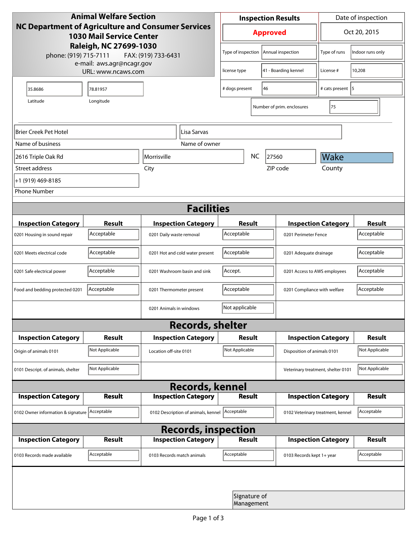| <b>Animal Welfare Section</b><br><b>NC Department of Agriculture and Consumer Services</b><br><b>1030 Mail Service Center</b> |                |                                     |                            | <b>Inspection Results</b>  |                      |                                    | Date of inspection                |                  |  |
|-------------------------------------------------------------------------------------------------------------------------------|----------------|-------------------------------------|----------------------------|----------------------------|----------------------|------------------------------------|-----------------------------------|------------------|--|
|                                                                                                                               |                |                                     |                            | <b>Approved</b>            |                      |                                    | Oct 20, 2015                      |                  |  |
| Raleigh, NC 27699-1030<br>phone: (919) 715-7111<br>FAX: (919) 733-6431<br>e-mail: aws.agr@ncagr.gov<br>URL: www.ncaws.com     |                |                                     |                            | Type of inspection         |                      | Annual inspection                  | Type of runs                      | Indoor runs only |  |
|                                                                                                                               |                |                                     | license type               |                            | 41 - Boarding kennel | License #                          | 10,208                            |                  |  |
| 35.8686                                                                                                                       | 78.81957       |                                     | 46<br># dogs present       |                            |                      | # cats present   5                 |                                   |                  |  |
| Latitude                                                                                                                      | Longitude      |                                     |                            |                            |                      | Number of prim. enclosures         | 75                                |                  |  |
| Brier Creek Pet Hotel<br>Lisa Sarvas                                                                                          |                |                                     |                            |                            |                      |                                    |                                   |                  |  |
| Name of business<br>Name of owner                                                                                             |                |                                     |                            |                            |                      |                                    |                                   |                  |  |
| 2616 Triple Oak Rd                                                                                                            | Morrisville    |                                     |                            |                            | <b>NC</b>            | 27560                              | Wake                              |                  |  |
| Street address                                                                                                                |                | City                                |                            |                            |                      | ZIP code                           | County                            |                  |  |
| +1 (919) 469-8185                                                                                                             |                |                                     |                            |                            |                      |                                    |                                   |                  |  |
| <b>Phone Number</b>                                                                                                           |                |                                     |                            |                            |                      |                                    |                                   |                  |  |
|                                                                                                                               |                |                                     | <b>Facilities</b>          |                            |                      |                                    |                                   |                  |  |
| <b>Inspection Category</b>                                                                                                    | <b>Result</b>  |                                     | <b>Inspection Category</b> | Result                     |                      |                                    | <b>Inspection Category</b>        |                  |  |
| 0201 Housing in sound repair                                                                                                  | Acceptable     | 0201 Daily waste removal            |                            | Acceptable                 |                      |                                    | 0201 Perimeter Fence              |                  |  |
| 0201 Meets electrical code                                                                                                    | Acceptable     | 0201 Hot and cold water present     | Acceptable                 |                            |                      | 0201 Adequate drainage             |                                   |                  |  |
| 0201 Safe electrical power                                                                                                    | Acceptable     | 0201 Washroom basin and sink        |                            | Accept.                    |                      |                                    | 0201 Access to AWS employees      |                  |  |
| Food and bedding protected 0201                                                                                               | Acceptable     | 0201 Thermometer present            |                            | Acceptable                 |                      |                                    | 0201 Compliance with welfare      |                  |  |
|                                                                                                                               |                | 0201 Animals in windows             |                            | Not applicable             |                      |                                    |                                   |                  |  |
| <b>Records, shelter</b>                                                                                                       |                |                                     |                            |                            |                      |                                    |                                   |                  |  |
| <b>Inspection Category</b>                                                                                                    | Result         |                                     | <b>Inspection Category</b> | Result                     |                      |                                    | <b>Inspection Category</b>        | <b>Result</b>    |  |
| Origin of animals 0101                                                                                                        | Not Applicable | Location off-site 0101              |                            | Not Applicable             |                      |                                    | Disposition of animals 0101       |                  |  |
| 0101 Descript. of animals, shelter                                                                                            | Not Applicable |                                     |                            |                            |                      | Veterinary treatment, shelter 0101 |                                   | Not Applicable   |  |
| <b>Records, kennel</b>                                                                                                        |                |                                     |                            |                            |                      |                                    |                                   |                  |  |
| <b>Inspection Category</b>                                                                                                    | Result         |                                     | <b>Inspection Category</b> | <b>Result</b>              |                      |                                    | <b>Inspection Category</b>        | Result           |  |
| 0102 Owner information & signature Acceptable                                                                                 |                | 0102 Description of animals, kennel |                            | Acceptable                 |                      |                                    | 0102 Veterinary treatment, kennel |                  |  |
| <b>Records, inspection</b>                                                                                                    |                |                                     |                            |                            |                      |                                    |                                   |                  |  |
| <b>Inspection Category</b>                                                                                                    | <b>Result</b>  |                                     | <b>Inspection Category</b> | <b>Result</b>              |                      |                                    | <b>Inspection Category</b>        | <b>Result</b>    |  |
| 0103 Records made available                                                                                                   | Acceptable     | 0103 Records match animals          |                            | Acceptable                 |                      | 0103 Records kept 1+ year          |                                   | Acceptable       |  |
|                                                                                                                               |                |                                     |                            |                            |                      |                                    |                                   |                  |  |
|                                                                                                                               |                |                                     |                            | Signature of<br>Management |                      |                                    |                                   |                  |  |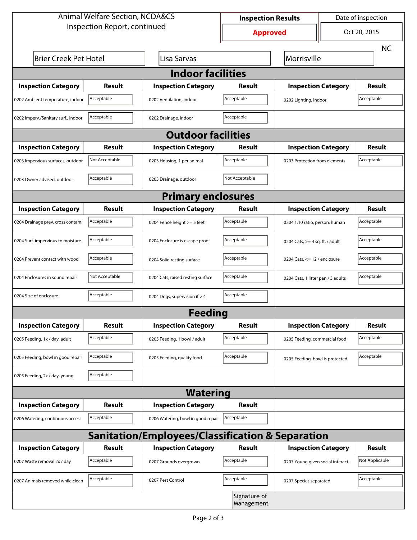| <b>Animal Welfare Section, NCDA&amp;CS</b> |                |                                                             | <b>Inspection Results</b>  |                                    | Date of inspection             |                |  |  |  |
|--------------------------------------------|----------------|-------------------------------------------------------------|----------------------------|------------------------------------|--------------------------------|----------------|--|--|--|
| Inspection Report, continued               |                |                                                             | <b>Approved</b>            |                                    | Oct 20, 2015                   |                |  |  |  |
|                                            |                |                                                             |                            |                                    |                                | <b>NC</b>      |  |  |  |
| <b>Brier Creek Pet Hotel</b>               |                | Morrisville                                                 |                            |                                    |                                |                |  |  |  |
| <b>Indoor facilities</b>                   |                |                                                             |                            |                                    |                                |                |  |  |  |
| <b>Inspection Category</b>                 | Result         | <b>Inspection Category</b>                                  | Result                     | <b>Inspection Category</b>         |                                | <b>Result</b>  |  |  |  |
| 0202 Ambient temperature, indoor           | Acceptable     | 0202 Ventilation, indoor                                    | Acceptable                 | 0202 Lighting, indoor              |                                | Acceptable     |  |  |  |
| 0202 Imperv./Sanitary surf., indoor        | Acceptable     | 0202 Drainage, indoor                                       | Acceptable                 |                                    |                                |                |  |  |  |
| <b>Outdoor facilities</b>                  |                |                                                             |                            |                                    |                                |                |  |  |  |
| <b>Inspection Category</b>                 | Result         | <b>Inspection Category</b>                                  | Result                     | <b>Inspection Category</b>         |                                | <b>Result</b>  |  |  |  |
| 0203 Impervious surfaces, outdoor          | Not Acceptable | 0203 Housing, 1 per animal                                  | Acceptable                 | 0203 Protection from elements      |                                | Acceptable     |  |  |  |
| 0203 Owner advised, outdoor                | Acceptable     | 0203 Drainage, outdoor                                      | Not Acceptable             |                                    |                                |                |  |  |  |
|                                            |                | <b>Primary enclosures</b>                                   |                            |                                    |                                |                |  |  |  |
| <b>Inspection Category</b>                 | Result         | <b>Inspection Category</b>                                  | Result                     | <b>Inspection Category</b>         |                                | Result         |  |  |  |
| 0204 Drainage prev. cross contam.          | Acceptable     | 0204 Fence height >= 5 feet                                 | Acceptable                 |                                    | 0204 1:10 ratio, person: human |                |  |  |  |
| 0204 Surf. impervious to moisture          | Acceptable     | 0204 Enclosure is escape proof                              | Acceptable                 | 0204 Cats, $>=$ 4 sq. ft. / adult  |                                | Acceptable     |  |  |  |
| 0204 Prevent contact with wood             | Acceptable     | 0204 Solid resting surface                                  | Acceptable                 | 0204 Cats, $<= 12$ / enclosure     |                                | Acceptable     |  |  |  |
| 0204 Enclosures in sound repair            | Not Acceptable | 0204 Cats, raised resting surface                           | Acceptable                 | 0204 Cats, 1 litter pan / 3 adults |                                | Acceptable     |  |  |  |
| 0204 Size of enclosure                     | Acceptable     | 0204 Dogs, supervision if > 4                               | Acceptable                 |                                    |                                |                |  |  |  |
|                                            |                | <b>Feeding</b>                                              |                            |                                    |                                |                |  |  |  |
| <b>Inspection Category</b>                 | <b>Result</b>  | <b>Inspection Category</b>                                  | Result                     | <b>Inspection Category</b>         |                                | <b>Result</b>  |  |  |  |
| 0205 Feeding, 1x / day, adult              | Acceptable     | 0205 Feeding, 1 bowl / adult                                | Acceptable                 | 0205 Feeding, commercial food      |                                | Acceptable     |  |  |  |
| 0205 Feeding, bowl in good repair          | Acceptable     | 0205 Feeding, quality food                                  | Acceptable                 | 0205 Feeding, bowl is protected    |                                | Acceptable     |  |  |  |
| 0205 Feeding, 2x / day, young              | Acceptable     |                                                             |                            |                                    |                                |                |  |  |  |
|                                            |                | <b>Watering</b>                                             |                            |                                    |                                |                |  |  |  |
| <b>Inspection Category</b>                 | <b>Result</b>  | <b>Inspection Category</b>                                  | Result                     |                                    |                                |                |  |  |  |
| 0206 Watering, continuous access           | Acceptable     | 0206 Watering, bowl in good repair                          | Acceptable                 |                                    |                                |                |  |  |  |
|                                            |                | <b>Sanitation/Employees/Classification &amp; Separation</b> |                            |                                    |                                |                |  |  |  |
| <b>Inspection Category</b>                 | <b>Result</b>  | <b>Inspection Category</b>                                  | Result                     | <b>Inspection Category</b>         |                                | <b>Result</b>  |  |  |  |
| 0207 Waste removal 2x / day                | Acceptable     | 0207 Grounds overgrown                                      | Acceptable                 | 0207 Young given social interact.  |                                | Not Applicable |  |  |  |
| 0207 Animals removed while clean           | Acceptable     | 0207 Pest Control                                           | Acceptable                 | 0207 Species separated             |                                | Acceptable     |  |  |  |
|                                            |                |                                                             | Signature of<br>Management |                                    |                                |                |  |  |  |